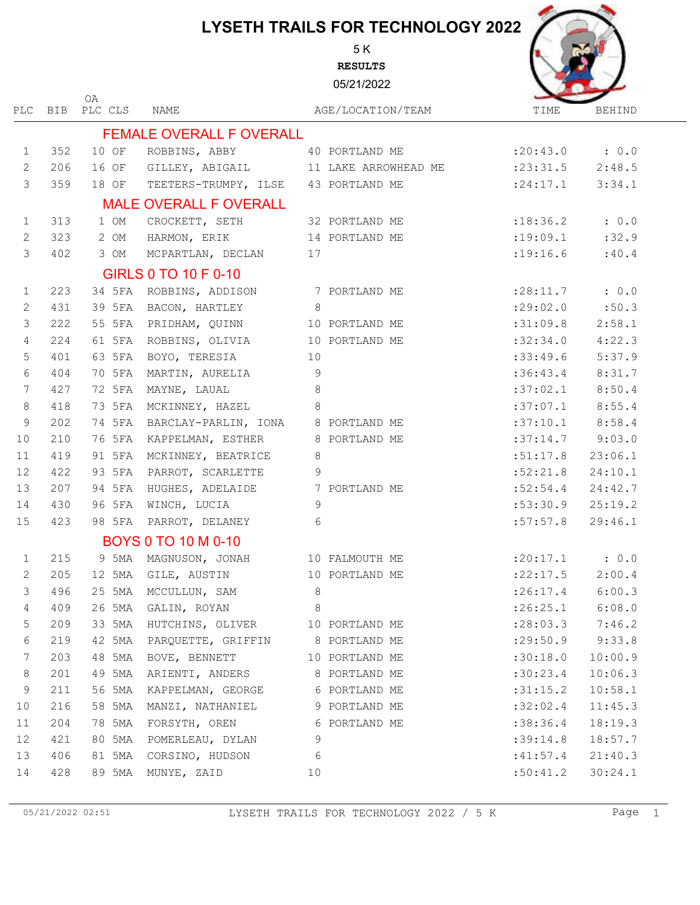5 K **RESULTS**

05/21/2022



|                 |            | 0A      |                                    |                |                      |                     |         |
|-----------------|------------|---------|------------------------------------|----------------|----------------------|---------------------|---------|
| <b>PLC</b>      | <b>BIB</b> | PLC CLS | <b>NAME</b>                        |                | AGE/LOCATION/TEAM    | TIME                | BEHIND  |
|                 |            |         | <b>FEMALE OVERALL F OVERALL</b>    |                |                      |                     |         |
| $\mathbf{1}$    | 352        | 10 OF   | ROBBINS, ABBY                      |                | 40 PORTLAND ME       | $: 20:43.0$ : 0.0   |         |
| $\mathbf{2}$    | 206        | 16 OF   | GILLEY, ABIGAIL                    |                | 11 LAKE ARROWHEAD ME | : 23: 31.5          | 2:48.5  |
| $\mathcal{S}$   | 359        | 18 OF   | TEETERS-TRUMPY, ILSE               |                | 43 PORTLAND ME       | : 24:17.1           | 3:34.1  |
|                 |            |         | <b>MALE OVERALL F OVERALL</b>      |                |                      |                     |         |
| $\mathbf{1}$    | 313        | 1 OM    | CROCKETT, SETH                     |                | 32 PORTLAND ME       | : 18: 36.2          | : 0.0   |
| 2               | 323        | 2 OM    | HARMON, ERIK                       |                | 14 PORTLAND ME       | : 19:09.1           | :32.9   |
| 3               | 402        | 3 OM    | MCPARTLAN, DECLAN                  | 17             |                      | : 19:16.6           | :40.4   |
|                 |            |         | GIRLS 0 TO 10 F 0-10               |                |                      |                     |         |
| $\mathbf{1}$    | 223        | 34 5FA  | ROBBINS, ADDISON                   |                | 7 PORTLAND ME        | : 28:11.7           | : 0.0   |
| $\mathbf{2}$    | 431        | 39 5FA  | BACON, HARTLEY                     | 8              |                      | :29:02.0            | :50.3   |
| 3               | 222        | 55 5FA  | PRIDHAM, QUINN                     |                | 10 PORTLAND ME       | :31:09.8            | 2:58.1  |
| $\overline{4}$  | 224        | 61 5FA  | ROBBINS, OLIVIA                    |                | 10 PORTLAND ME       | :32:34.0            | 4:22.3  |
| 5               | 401        | 63 5FA  | BOYO, TERESIA                      | 10             |                      | :33:49.6            | 5:37.9  |
| $6\,$           | 404        | 70 5FA  | MARTIN, AURELIA                    | $\mathsf 9$    |                      | :36:43.4            | 8:31.7  |
| $7\phantom{.0}$ | 427        | 72 5FA  | MAYNE, LAUAL                       | $8\,$          |                      | :37:02.1            | 8:50.4  |
| $\,8\,$         | 418        | 73 5FA  | MCKINNEY, HAZEL                    | 8              |                      | :37:07.1            | 8:55.4  |
| $\overline{9}$  | 202        | 74 5FA  | BARCLAY-PARLIN, IONA 8 PORTLAND ME |                |                      | :37:10.1            | 8:58.4  |
| 10              | 210        | 76 5FA  | KAPPELMAN, ESTHER                  |                | 8 PORTLAND ME        | $:37:14.7$ 9:03.0   |         |
| 11              | 419        | 91 5FA  | MCKINNEY, BEATRICE                 | 8              |                      | :51:17.8            | 23:06.1 |
| 12              | 422        | 93 5FA  | PARROT, SCARLETTE                  | 9              |                      | :52:21.8            | 24:10.1 |
| 13              | 207        | 94 5FA  | HUGHES, ADELAIDE                   |                | 7 PORTLAND ME        | :52:54.4            | 24:42.7 |
| 14              | 430        | 96 5FA  | WINCH, LUCIA                       | 9              |                      | :53:30.9            | 25:19.2 |
| 15              | 423        | 98 5FA  | PARROT, DELANEY                    | 6              |                      | :57:57.8            | 29:46.1 |
|                 |            |         | <b>BOYS 0 TO 10 M 0-10</b>         |                |                      |                     |         |
| $\mathbf{1}$    | 215        | 9 5MA   | MAGNUSON, JONAH                    |                | 10 FALMOUTH ME       | $: 20:17.1$ : 0.0   |         |
| 2               | 205        | 12 5MA  | GILE, AUSTIN                       |                | 10 PORTLAND ME       | : 22: 17.5          | 2:00.4  |
| 3               | 496        | 25 5MA  | MCCULLUN, SAM                      | 8              |                      | : 26: 17.4          | 6:00.3  |
| 4               |            |         | 409 26 5MA GALIN, ROYAN            | 8 <sup>8</sup> |                      | $:26:25.1$ $6:08.0$ |         |
| 5               | 209        | 33 5MA  | HUTCHINS, OLIVER 10 PORTLAND ME    |                |                      | : 28:03.3           | 7:46.2  |
| 6               | 219        | 42 5MA  | PARQUETTE, GRIFFIN 8 PORTLAND ME   |                |                      | : 29:50.9           | 9:33.8  |
| 7               | 203        | 48 5MA  | BOVE, BENNETT                      |                | 10 PORTLAND ME       | :30:18.0            | 10:00.9 |
| $\,8\,$         | 201        | 49 5MA  | ARIENTI, ANDERS 8 PORTLAND ME      |                |                      | :30:23.4            | 10:06.3 |
| $\mathsf 9$     | 211        | 56 5MA  | KAPPELMAN, GEORGE                  |                | 6 PORTLAND ME        | :31:15.2            | 10:58.1 |
| 10              | 216        | 58 5MA  | MANZI, NATHANIEL                   |                | 9 PORTLAND ME        | :32:02.4            | 11:45.3 |
| 11              | 204        | 78 5MA  | FORSYTH, OREN                      |                | 6 PORTLAND ME        | :38:36.4            | 18:19.3 |
| 12              | 421        | 80 5MA  | POMERLEAU, DYLAN                   | 9              |                      | :39:14.8            | 18:57.7 |
| 13              | 406        | 81 5MA  | CORSINO, HUDSON                    | 6              |                      | :41:57.4            | 21:40.3 |
| 14              | 428        | 89 5MA  | MUNYE, ZAID                        | 10             |                      | :50:41.2            | 30:24.1 |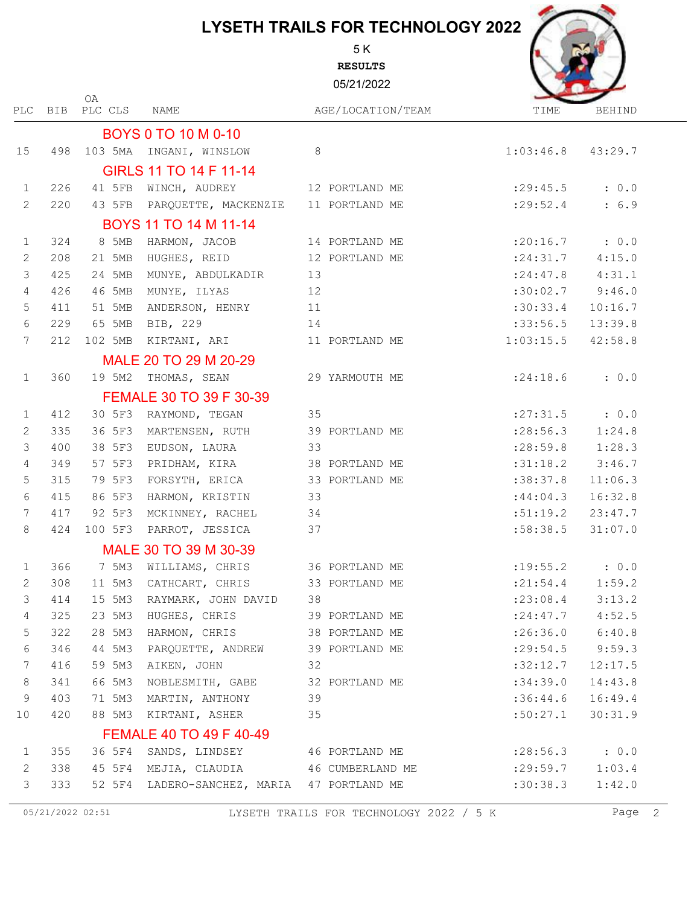5 K **RESULTS**

05/21/2022



| PLC             | BIB | PLC CLS | NAME                                        | AGE/LOCATION/TEAM                    | TIME                 | <b>BEHIND</b> |
|-----------------|-----|---------|---------------------------------------------|--------------------------------------|----------------------|---------------|
|                 |     |         | <b>BOYS 0 TO 10 M 0-10</b>                  |                                      |                      |               |
| 15              | 498 |         | 103 5MA INGANI, WINSLOW                     | 8                                    | 1:03:46.8            | 43:29.7       |
|                 |     |         | GIRLS 11 TO 14 F 11-14                      |                                      |                      |               |
| 1               | 226 | 41 5FB  | WINCH, AUDREY                               | 12 PORTLAND ME                       | : 29: 45.5           | : 0.0         |
| 2               | 220 | 43 5FB  | PARQUETTE, MACKENZIE                        | 11 PORTLAND ME                       | : 29:52.4            | : 6.9         |
|                 |     |         | BOYS 11 TO 14 M 11-14                       |                                      |                      |               |
| $\mathbf 1$     | 324 | 8 5MB   | HARMON, JACOB                               | 14 PORTLAND ME                       | : 20:16.7            | : 0.0         |
| 2               | 208 | 21 5MB  | HUGHES, REID                                | 12 PORTLAND ME                       | : 24:31.7            | 4:15.0        |
| $\mathcal{S}$   | 425 | 24 5MB  | MUNYE, ABDULKADIR                           | 13                                   | : 24:47.8            | 4:31.1        |
| $\overline{4}$  | 426 | 46 5MB  | MUNYE, ILYAS                                | 12                                   | :30:02.7             | 9:46.0        |
| 5               | 411 | 51 5MB  | ANDERSON, HENRY                             | 11                                   | :30:33.4             | 10:16.7       |
| $\sqrt{6}$      | 229 | 65 5MB  | BIB, 229                                    | 14                                   | :33:56.5             | 13:39.8       |
| 7               | 212 | 102 5MB | KIRTANI, ARI                                | 11 PORTLAND ME                       | 1:03:15.5            | 42:58.8       |
|                 |     |         | MALE 20 TO 29 M 20-29                       |                                      |                      |               |
| $\mathbf{1}$    | 360 | 19 5M2  | THOMAS, SEAN                                | 29 YARMOUTH ME                       | : 24:18.6            | : 0.0         |
|                 |     |         | FEMALE 30 TO 39 F 30-39                     |                                      |                      |               |
| 1               | 412 | 30 5F3  | RAYMOND, TEGAN                              | 35                                   | : 27: 31.5           | : 0.0         |
| 2               | 335 | 36 5F3  | MARTENSEN, RUTH                             | 39 PORTLAND ME                       | : 28:56.3            | 1:24.8        |
| $\mathcal{S}$   | 400 | 38 5F3  | EUDSON, LAURA                               | 33                                   | : 28:59.8            | 1:28.3        |
| $\overline{4}$  | 349 | 57 5F3  | PRIDHAM, KIRA 38 PORTLAND ME                |                                      | :31:18.2             | 3:46.7        |
| 5               | 315 | 79 5F3  | FORSYTH, ERICA 33 PORTLAND ME               |                                      | :38:37.8             | 11:06.3       |
| $6\phantom{.}6$ | 415 | 86 5F3  | HARMON, KRISTIN                             | 33                                   | :44:04.3             | 16:32.8       |
| $7\phantom{.0}$ | 417 | 92 5F3  | MCKINNEY, RACHEL                            | 34                                   | :51:19.2             | 23:47.7       |
| 8               | 424 | 100 5F3 | PARROT, JESSICA                             | 37                                   | :58:38.5             | 31:07.0       |
|                 |     |         | MALE 30 TO 39 M 30-39                       |                                      |                      |               |
| $\mathbf{1}$    | 366 | 7 5M3   | WILLIAMS, CHRIS                             | 36 PORTLAND ME                       | : 19: 55.2           | : 0.0         |
| 2               | 308 | 11 5M3  | CATHCART, CHRIS                             | 33 PORTLAND ME                       | : 21: 54.4           | 1:59.2        |
| $\mathcal{S}$   | 414 | 15 5M3  | RAYMARK, JOHN DAVID                         | 38                                   | $: 23:08.4$ 3:13.2   |               |
| $\overline{4}$  | 325 |         | 23 5M3 HUGHES, CHRIS                        | 39 PORTLAND ME                       | : 24:47.7            | 4:52.5        |
| 5               | 322 |         | 28 5M3 HARMON, CHRIS                        | 38 PORTLAND ME                       | $: 26:36.0$ $6:40.8$ |               |
| 6               | 346 |         | 44 5M3 PARQUETTE, ANDREW 39 PORTLAND ME     |                                      | $: 29:54.5$ 9:59.3   |               |
| $7\phantom{.0}$ | 416 |         | 59 5M3 AIKEN, JOHN 32                       |                                      | :32:12.7             | 12:17.5       |
| $8\phantom{1}$  | 341 | 66 5M3  | NOBLESMITH, GABE 32 PORTLAND ME             |                                      | :34:39.0             | 14:43.8       |
| 9               | 403 | 71 5M3  | MARTIN, ANTHONY 39                          |                                      | :36:44.6             | 16:49.4       |
| 10              | 420 |         | 88 5M3 KIRTANI, ASHER                       | 35                                   | :50:27.1             | 30:31.9       |
|                 |     |         | FEMALE 40 TO 49 F 40-49                     |                                      |                      |               |
| $\mathbf{1}$    | 355 |         |                                             | 36 5F4 SANDS, LINDSEY 46 PORTLAND ME | $: 28:56.3$ : 0.0    |               |
| 2               | 338 |         | 45 5F4 MEJIA, CLAUDIA 46 CUMBERLAND ME      |                                      | $: 29:59.7$ 1:03.4   |               |
| 3               | 333 |         | 52 5F4 LADERO-SANCHEZ, MARIA 47 PORTLAND ME |                                      | :30:38.3             | 1:42.0        |

OA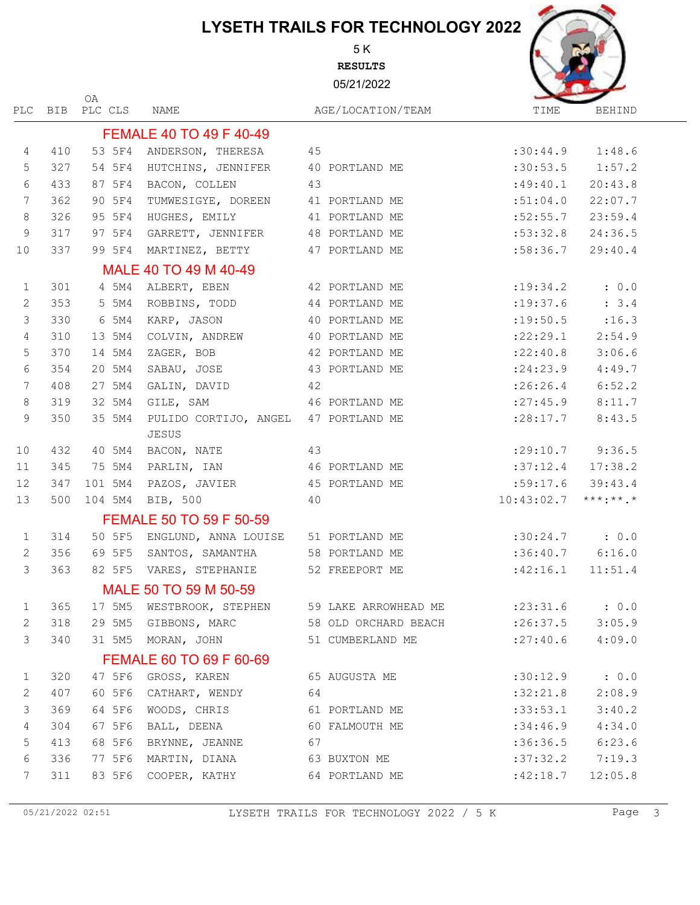5 K **RESULTS**

05/21/2022

NAME

PLC BIB PLC CLS OA



|                 |     |         | FEMALE 40 TO 49 F 40-49                                 |    |                  |                       |         |
|-----------------|-----|---------|---------------------------------------------------------|----|------------------|-----------------------|---------|
| $\overline{4}$  | 410 | 53 5F4  | ANDERSON, THERESA 45                                    |    |                  | :30:44.9              | 1:48.6  |
| 5               | 327 | 54 5F4  | HUTCHINS, JENNIFER 40 PORTLAND ME                       |    |                  | :30:53.5              | 1:57.2  |
| $\epsilon$      | 433 | 87 5F4  | BACON, COLLEN                                           | 43 |                  | :49:40.1              | 20:43.8 |
| 7               | 362 | 90 5F4  | TUMWESIGYE, DOREEN 41 PORTLAND ME                       |    |                  | :51:04.0              | 22:07.7 |
| $8\,$           | 326 | 95 5F4  | HUGHES, EMILY 41 PORTLAND ME                            |    |                  | :52:55.7              | 23:59.4 |
| $\mathsf 9$     | 317 | 97 5F4  | GARRETT, JENNIFER 48 PORTLAND ME                        |    |                  | :53:32.8              | 24:36.5 |
| 10              | 337 | 99 5F4  | MARTINEZ, BETTY 47 PORTLAND ME                          |    |                  | :58:36.7              | 29:40.4 |
|                 |     |         | MALE 40 TO 49 M 40-49                                   |    |                  |                       |         |
| 1               | 301 | 4 5M4   | ALBERT, EBEN                                            |    | 42 PORTLAND ME   | : 19: 34.2            | : 0.0   |
| 2               | 353 | 5 5M4   | ROBBINS, TODD 44 PORTLAND ME                            |    |                  | : 19: 37.6            | : 3.4   |
| $\mathcal{S}$   | 330 | 6 5M4   | KARP, JASON                                             |    | 40 PORTLAND ME   | : 19:50.5             | : 16.3  |
| $\overline{4}$  | 310 | 13 5M4  | COLVIN, ANDREW 40 PORTLAND ME                           |    |                  | : 22: 29.1            | 2:54.9  |
| 5               | 370 | 14 5M4  | ZAGER, BOB                                              |    | 42 PORTLAND ME   | : 22: 40.8            | 3:06.6  |
| $\epsilon$      | 354 | 20 5M4  | SABAU, JOSE                                             |    | 43 PORTLAND ME   | : 24:23.9             | 4:49.7  |
| $7\phantom{.0}$ | 408 | 27 5M4  | GALIN, DAVID 42                                         |    |                  | : 26:26.4             | 6:52.2  |
| $8\,$           | 319 | 32 5M4  | GILE, SAM                                               |    | 46 PORTLAND ME   | : 27: 45.9            | 8:11.7  |
| $\overline{9}$  | 350 | 35 5M4  | PULIDO CORTIJO, ANGEL 47 PORTLAND ME<br>JESUS           |    |                  | : 28:17.7             | 8:43.5  |
| 10              | 432 | 40 5M4  | BACON, NATE                                             | 43 |                  | $: 29:10.7$ 9:36.5    |         |
| 11              | 345 | 75 5M4  | PARLIN, IAN 46 PORTLAND ME                              |    |                  | $:37:12.4$ 17:38.2    |         |
| 12              | 347 | 101 5M4 | PAZOS, JAVIER 45 PORTLAND ME                            |    |                  | :59:17.6              | 39:43.4 |
| 13              | 500 | 104 5M4 | BIB, 500                                                | 40 |                  | $10:43:02.7$ ***:**.* |         |
|                 |     |         | FEMALE 50 TO 59 F 50-59                                 |    |                  |                       |         |
| $\mathbf{1}$    | 314 | 50 5F5  | ENGLUND, ANNA LOUISE 51 PORTLAND ME                     |    |                  | $:30:24.7$ : 0.0      |         |
| 2               | 356 | 69 5F5  | SANTOS, SAMANTHA 58 PORTLAND ME                         |    |                  | $:36:40.7$ $6:16.0$   |         |
| $\mathcal{S}$   | 363 | 82 5F5  | VARES, STEPHANIE 52 FREEPORT ME                         |    |                  | :42:16.1              | 11:51.4 |
|                 |     |         | MALE 50 TO 59 M 50-59                                   |    |                  |                       |         |
| 1               | 365 | 17 5M5  | WESTBROOK, STEPHEN 59 LAKE ARROWHEAD ME : 23:31.6 : 0.0 |    |                  |                       |         |
| $\mathbf{2}$    | 318 | 29 5M5  | GIBBONS, MARC 58 OLD ORCHARD BEACH                      |    |                  | $:26:37.5$ 3:05.9     |         |
| 3               | 340 |         | 31 5M5 MORAN, JOHN                                      |    | 51 CUMBERLAND ME | : 27: 40.6            | 4:09.0  |
|                 |     |         | FEMALE 60 TO 69 F 60-69                                 |    |                  |                       |         |
| $\mathbf{1}$    | 320 | 47 5F6  | GROSS, KAREN                                            |    | 65 AUGUSTA ME    | :30:12.9              | : 0.0   |
| 2               | 407 | 60 5F6  | CATHART, WENDY 64                                       |    |                  | :32:21.8              | 2:08.9  |
| $\mathfrak{Z}$  | 369 | 64 5F6  | WOODS, CHRIS 61 PORTLAND ME                             |    |                  | :33:53.1              | 3:40.2  |
| $\overline{4}$  | 304 | 67 5F6  | BALL, DEENA 60 FALMOUTH ME                              |    |                  | :34:46.9              | 4:34.0  |
| $\mathsf S$     | 413 | 68 5F6  | BRYNNE, JEANNE 67                                       |    |                  | :36:36.5              | 6:23.6  |
| $\epsilon$      | 336 | 77 5F6  | MARTIN, DIANA 63 BUXTON ME                              |    |                  | :37:32.2              | 7:19.3  |
| 7               | 311 | 83 5F6  | COOPER, KATHY 64 PORTLAND ME                            |    |                  | :42:18.7              | 12:05.8 |
|                 |     |         |                                                         |    |                  |                       |         |